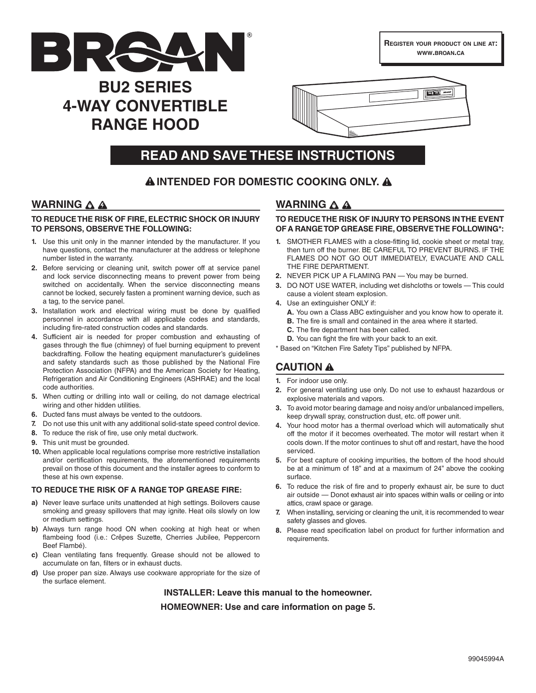

**REGISTER YOUR PRODUCT ON LINE AT: WWW.BROAN.CA**

# **BU2 SERIES 4-WAY CONVERTIBLE RANGE HOOD**



# **READ AND SAVE THESE INSTRUCTIONS**

# **! INTENDED FOR DOMESTIC COOKING ONLY. !**

### **WARNING A A**

#### **TO REDUCE THE RISK OF FIRE, ELECTRIC SHOCK OR INJURY TO PERSONS, OBSERVE THE FOLLOWING:**

- **1.** Use this unit only in the manner intended by the manufacturer. If you have questions, contact the manufacturer at the address or telephone number listed in the warranty.
- **2.** Before servicing or cleaning unit, switch power off at service panel and lock service disconnecting means to prevent power from being switched on accidentally. When the service disconnecting means cannot be locked, securely fasten a prominent warning device, such as a tag, to the service panel.
- **3.** Installation work and electrical wiring must be done by qualified personnel in accordance with all applicable codes and standards, including fire-rated construction codes and standards.
- **4.** Sufficient air is needed for proper combustion and exhausting of gases through the flue (chimney) of fuel burning equipment to prevent backdrafting. Follow the heating equipment manufacturer's guidelines and safety standards such as those published by the National Fire Protection Association (NFPA) and the American Society for Heating, Refrigeration and Air Conditioning Engineers (ASHRAE) and the local code authorities.
- **5.** When cutting or drilling into wall or ceiling, do not damage electrical wiring and other hidden utilities.
- **6.** Ducted fans must always be vented to the outdoors.
- **7.** Do not use this unit with any additional solid-state speed control device.
- **8.** To reduce the risk of fire, use only metal ductwork.
- **9.** This unit must be grounded.
- **10.** When applicable local regulations comprise more restrictive installation and/or certification requirements, the aforementioned requirements prevail on those of this document and the installer agrees to conform to these at his own expense.

#### **TO REDUCE THE RISK OF A RANGE TOP GREASE FIRE:**

- **a)** Never leave surface units unattended at high settings. Boilovers cause smoking and greasy spillovers that may ignite. Heat oils slowly on low or medium settings.
- **b)** Always turn range hood ON when cooking at high heat or when flambeing food (i.e.: Crêpes Suzette, Cherries Jubilee, Peppercorn Beef Flambé).
- **c)** Clean ventilating fans frequently. Grease should not be allowed to accumulate on fan, filters or in exhaust ducts.
- **d)** Use proper pan size. Always use cookware appropriate for the size of the surface element.

### **WARNING** A

#### **TO REDUCE THE RISK OF INJURY TO PERSONS IN THE EVENT OF A RANGE TOP GREASE FIRE, OBSERVE THE FOLLOWING\*:**

- **1.** SMOTHER FLAMES with a close-fitting lid, cookie sheet or metal tray, then turn off the burner. BE CAREFUL TO PREVENT BURNS. IF THE FLAMES DO NOT GO OUT IMMEDIATELY, EVACUATE AND CALL THE FIRE DEPARTMENT.
- **2.** NEVER PICK UP A FLAMING PAN You may be burned.
- **3.** DO NOT USE WATER, including wet dishcloths or towels This could cause a violent steam explosion.
- **4.** Use an extinguisher ONLY if:
	- **A.** You own a Class ABC extinguisher and you know how to operate it.
	- **B.** The fire is small and contained in the area where it started.
	- **C.** The fire department has been called.
	- **D.** You can fight the fire with your back to an exit.
- \* Based on "Kitchen Fire Safety Tips" published by NFPA.

# **CAUTION !**

- **1.** For indoor use only.
- **2.** For general ventilating use only. Do not use to exhaust hazardous or explosive materials and vapors.
- **3.** To avoid motor bearing damage and noisy and/or unbalanced impellers, keep drywall spray, construction dust, etc. off power unit.
- **4.** Your hood motor has a thermal overload which will automatically shut off the motor if it becomes overheated. The motor will restart when it cools down. If the motor continues to shut off and restart, have the hood serviced.
- **5.** For best capture of cooking impurities, the bottom of the hood should be at a minimum of 18" and at a maximum of 24" above the cooking surface.
- **6.** To reduce the risk of fire and to properly exhaust air, be sure to duct air outside — Donot exhaust air into spaces within walls or ceiling or into attics, crawl space or garage.
- **7.** When installing, servicing or cleaning the unit, it is recommended to wear safety glasses and gloves.
- **8.** Please read specification label on product for further information and requirements.

**INSTALLER: Leave this manual to the homeowner. HOMEOWNER: Use and care information on page 5.**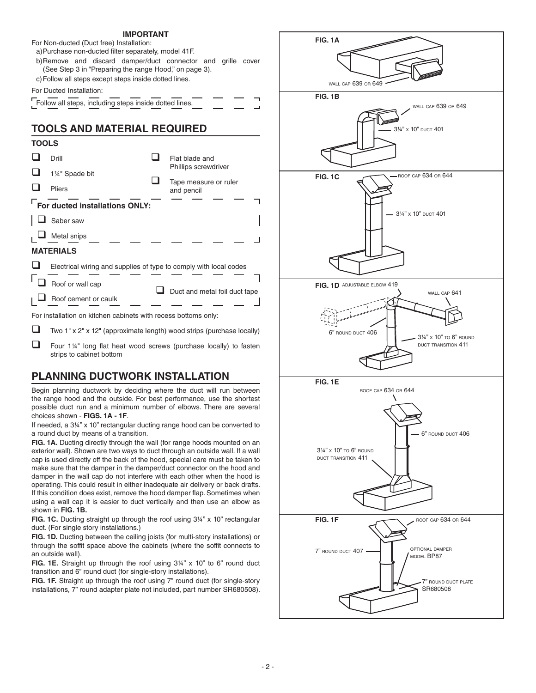#### **IMPORTANT**

For Non-ducted (Duct free) Installation:

a) Purchase non-ducted filter separately, model 41F.

- b) Remove and discard damper/duct connector and grille cover (See Step 3 in "Preparing the range Hood," on page 3).
- c) Follow all steps except steps inside dotted lines.

#### For Ducted Installation:

| Follow all steps, including steps inside dotted lines. |  |  |
|--------------------------------------------------------|--|--|

# **TOOLS AND MATERIAL REQUIRED**

| TOOLS                                                             |                                |                               |                                     |  |  |
|-------------------------------------------------------------------|--------------------------------|-------------------------------|-------------------------------------|--|--|
|                                                                   | Drill                          |                               | Flat blade and                      |  |  |
|                                                                   | 1¼" Spade bit                  |                               | Phillips screwdriver                |  |  |
|                                                                   | Pliers                         |                               | Tape measure or ruler<br>and pencil |  |  |
|                                                                   | For ducted installations ONLY: |                               |                                     |  |  |
|                                                                   | Saber saw                      |                               |                                     |  |  |
|                                                                   | Metal snips                    |                               |                                     |  |  |
| <b>MATERIALS</b>                                                  |                                |                               |                                     |  |  |
| Electrical wiring and supplies of type to comply with local codes |                                |                               |                                     |  |  |
|                                                                   | Roof or wall cap               | Duct and metal foil duct tape |                                     |  |  |
|                                                                   | Roof cement or caulk           |                               |                                     |  |  |
| For installation on kitchen cabinets with recess bottoms only:    |                                |                               |                                     |  |  |

 $\Box$  Two 1" x 2" x 12" (approximate length) wood strips (purchase locally)

 Four 1¼" long flat heat wood screws (purchase locally) to fasten strips to cabinet bottom

# **PLANNING DUCTWORK INSTALLATION**

Begin planning ductwork by deciding where the duct will run between the range hood and the outside. For best performance, use the shortest possible duct run and a minimum number of elbows. There are several choices shown - **FIGS. 1A - 1F**.

If needed, a 3¼" x 10" rectangular ducting range hood can be converted to a round duct by means of a transition.

FIG. 1A. Ducting directly through the wall (for range hoods mounted on an exterior wall). Shown are two ways to duct through an outside wall. If a wall cap is used directly off the back of the hood, special care must be taken to make sure that the damper in the damper/duct connector on the hood and damper in the wall cap do not interfere with each other when the hood is operating. This could result in either inadequate air delivery or back drafts. If this condition does exist, remove the hood damper flap. Sometimes when using a wall cap it is easier to duct vertically and then use an elbow as shown in **FIG. 1B.**

**FIG. 1C.** Ducting straight up through the roof using 3¼" x 10" rectangular duct. (For single story installations.)

**FIG. 1D.** Ducting between the ceiling joists (for multi-story installations) or through the soffit space above the cabinets (where the soffit connects to an outside wall).

**FIG. 1E.** Straight up through the roof using 3¼" x 10" to 6" round duct transition and 6" round duct (for single-story installations).

**FIG. 1F.** Straight up through the roof using 7" round duct (for single-story installations, 7" round adapter plate not included, part number SR680508).

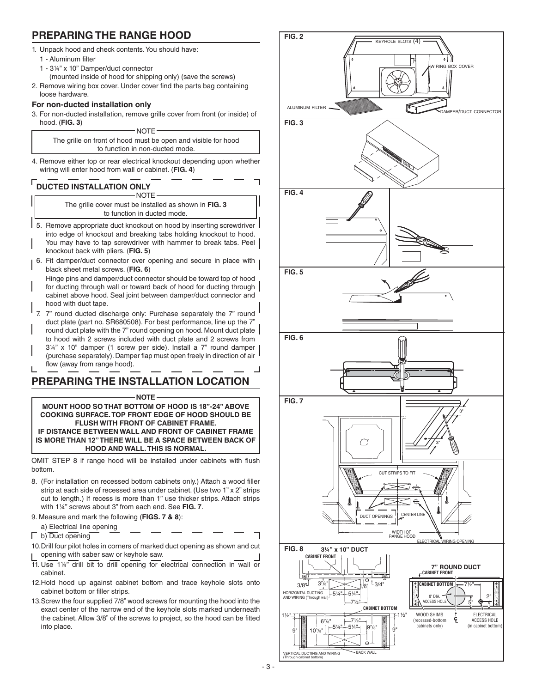### **PREPARING THE RANGE HOOD**

- 1. Unpack hood and check contents. You should have:
	- 1 Aluminum filter
	- 1 3¼" x 10" Damper/duct connector
		- (mounted inside of hood for shipping only) (save the screws)
- 2. Remove wiring box cover. Under cover find the parts bag containing loose hardware.

#### **For non-ducted installation only**

3. For non-ducted installation, remove grille cover from front (or inside) of hood. (**FIG. 3**) NOTE-

The grille on front of hood must be open and visible for hood to function in non-ducted mode.

4. Remove either top or rear electrical knockout depending upon whether wiring will enter hood from wall or cabinet. (**FIG. 4**)

#### **DUCTED INSTALLATION ONLY** -NOTF

The grille cover must be installed as shown in **FIG. 3** to function in ducted mode.

- 5. Remove appropriate duct knockout on hood by inserting screwdriver into edge of knockout and breaking tabs holding knockout to hood. You may have to tap screwdriver with hammer to break tabs. Peel knockout back with pliers. (**FIG. 5**)
- 6. Fit damper/duct connector over opening and secure in place with black sheet metal screws. (**FIG. 6**)
- Hinge pins and damper/duct connector should be toward top of hood for ducting through wall or toward back of hood for ducting through cabinet above hood. Seal joint between damper/duct connector and hood with duct tape.
- 7" round ducted discharge only: Purchase separately the 7" round duct plate (part no. SR680508). For best performance, line up the 7" round duct plate with the 7" round opening on hood. Mount duct plate to hood with 2 screws included with duct plate and 2 screws from 3¼" x 10" damper (1 screw per side). Install a 7" round damper (purchase separately). Damper flap must open freely in direction of air flow (away from range hood).

# **PREPARING THE INSTALLATION LOCATION**

#### **NOTE**

**MOUNT HOOD SO THAT BOTTOM OF HOOD IS 18"-24" ABOVE COOKING SURFACE. TOP FRONT EDGE OF HOOD SHOULD BE FLUSH WITH FRONT OF CABINET FRAME. IF DISTANCE BETWEEN WALL AND FRONT OF CABINET FRAME IS MORE THAN 12" THERE WILL BE A SPACE BETWEEN BACK OF HOOD AND WALL. THIS IS NORMAL.**

OMIT STEP 8 if range hood will be installed under cabinets with flush bottom.

- 8. (For installation on recessed bottom cabinets only.) Attach a wood filler strip at each side of recessed area under cabinet. (Use two 1" x 2" strips cut to length.) If recess is more than 1" use thicker strips. Attach strips with 1¼" screws about 3" from each end. See **FIG. 7**.
- 9. Measure and mark the following (**FIGS. 7 & 8**):
- a) Electrical line opening
- b) Duct opening
- 10. Drill four pilot holes in corners of marked duct opening as shown and cut opening with saber saw or keyhole saw.
- 11. Use 1¼" drill bit to drill opening for electrical connection in wall or cabinet.
- 12. Hold hood up against cabinet bottom and trace keyhole slots onto cabinet bottom or filler strips.
- 13. Screw the four supplied 7/8" wood screws for mounting the hood into the exact center of the narrow end of the keyhole slots marked underneath the cabinet. Allow 3/8" of the screws to project, so the hood can be fitted into place.

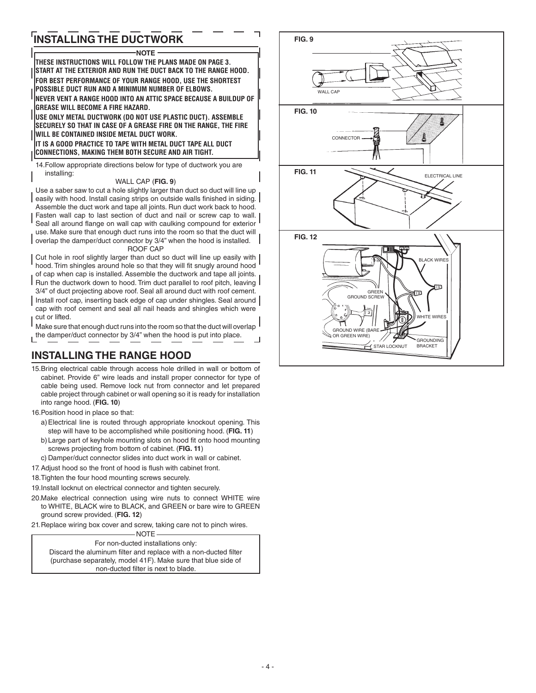# **INSTALLING THE DUCTWORK**

#### **NOTE THESE INSTRUCTIONS WILL FOLLOW THE PLANS MADE ON PAGE 3. START AT THE EXTERIOR AND RUN THE DUCT BACK TO THE RANGE HOOD. FOR BEST PERFORMANCE OF YOUR RANGE HOOD, USE THE SHORTEST POSSIBLE DUCT RUN AND A MINIMUM NUMBER OF ELBOWS. NEVER VENT A RANGE HOOD INTO AN ATTIC SPACE BECAUSE A BUILDUP OF GREASE WILL BECOME A FIRE HAZARD. USE ONLY METAL DUCTWORK (DO NOT USE PLASTIC DUCT). ASSEMBLE SECURELY SO THAT IN CASE OF A GREASE FIRE ON THE RANGE, THE FIRE WILL BE CONTAINED INSIDE METAL DUCT WORK. IT IS A GOOD PRACTICE TO TAPE WITH METAL DUCT TAPE ALL DUCT CONNECTIONS, MAKING THEM BOTH SECURE AND AIR TIGHT.** 14. Follow appropriate directions below for type of ductwork you are installing: WALL CAP (**FIG. 9**) Use a saber saw to cut a hole slightly larger than duct so duct will line up easily with hood. Install casing strips on outside walls finished in siding. Assemble the duct work and tape all joints. Run duct work back to hood. Fasten wall cap to last section of duct and nail or screw cap to wall. Seal all around flange on wall cap with caulking compound for exterior use. Make sure that enough duct runs into the room so that the duct will overlap the damper/duct connector by 3/4" when the hood is installed.

#### ROOF CAP

Cut hole in roof slightly larger than duct so duct will line up easily with hood. Trim shingles around hole so that they will fit snugly around hood of cap when cap is installed. Assemble the ductwork and tape all joints. Run the ductwork down to hood. Trim duct parallel to roof pitch, leaving

3/4" of duct projecting above roof. Seal all around duct with roof cement. Install roof cap, inserting back edge of cap under shingles. Seal around cap with roof cement and seal all nail heads and shingles which were

cut or lifted. Make sure that enough duct runs into the room so that the duct will overlap  $\mathsf I$ the damper/duct connector by 3/4" when the hood is put into place.

# **INSTALLING THE RANGE HOOD**

- 15. Bring electrical cable through access hole drilled in wall or bottom of cabinet. Provide 6" wire leads and install proper connector for type of cable being used. Remove lock nut from connector and let prepared cable project through cabinet or wall opening so it is ready for installation into range hood. (**FIG. 10**)
- 16. Position hood in place so that:
	- a) Electrical line is routed through appropriate knockout opening. This step will have to be accomplished while positioning hood. (**FIG. 11**)
	- b) Large part of keyhole mounting slots on hood fit onto hood mounting screws projecting from bottom of cabinet. (**FIG. 11**)
	- c) Damper/duct connector slides into duct work in wall or cabinet.
- 17. Adjust hood so the front of hood is flush with cabinet front.
- 18. Tighten the four hood mounting screws securely.
- 19. Install locknut on electrical connector and tighten securely.
- 20. Make electrical connection using wire nuts to connect WHITE wire to WHITE, BLACK wire to BLACK, and GREEN or bare wire to GREEN ground screw provided. (**FIG. 12**)
- 21. Replace wiring box cover and screw, taking care not to pinch wires. NOTE

For non-ducted installations only: Discard the aluminum filter and replace with a non-ducted filter (purchase separately, model 41F). Make sure that blue side of non-ducted filter is next to blade.

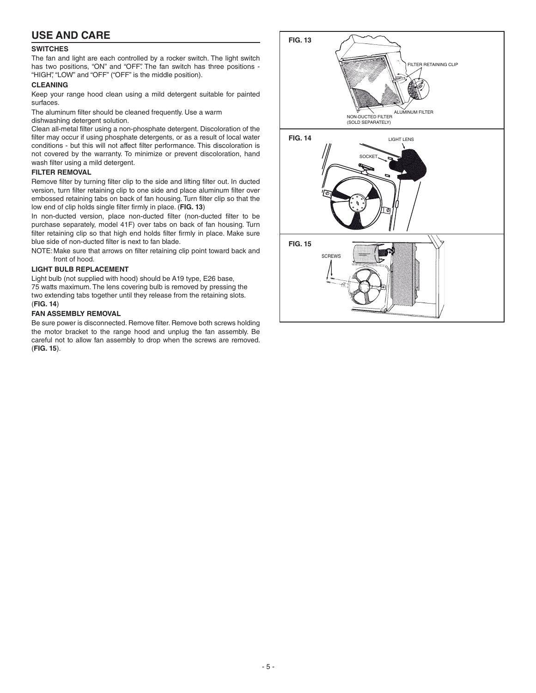### **USE AND CARE**

#### **SWITCHES**

The fan and light are each controlled by a rocker switch. The light switch has two positions, "ON" and "OFF". The fan switch has three positions - "HIGH", "LOW" and "OFF" ("OFF" is the middle position).

#### **CLEANING**

Keep your range hood clean using a mild detergent suitable for painted surfaces.

The aluminum filter should be cleaned frequently. Use a warm

dishwashing detergent solution.

Clean all-metal filter using a non-phosphate detergent. Discoloration of the filter may occur if using phosphate detergents, or as a result of local water conditions - but this will not affect filter performance. This discoloration is not covered by the warranty. To minimize or prevent discoloration, hand wash filter using a mild detergent.

#### **FILTER REMOVAL**

Remove filter by turning filter clip to the side and lifting filter out. In ducted version, turn filter retaining clip to one side and place aluminum filter over embossed retaining tabs on back of fan housing. Turn filter clip so that the low end of clip holds single filter firmly in place. (**FIG. 13**)

In non-ducted version, place non-ducted filter (non-ducted filter to be purchase separately, model 41F) over tabs on back of fan housing. Turn filter retaining clip so that high end holds filter firmly in place. Make sure blue side of non-ducted filter is next to fan blade.

NOTE: Make sure that arrows on filter retaining clip point toward back and front of hood.

#### **LIGHT BULB REPLACEMENT**

Light bulb (not supplied with hood) should be A19 type, E26 base, 75 watts maximum. The lens covering bulb is removed by pressing the two extending tabs together until they release from the retaining slots. (**FIG. 14**)

#### **FAN ASSEMBLY REMOVAL**

Be sure power is disconnected. Remove filter. Remove both screws holding the motor bracket to the range hood and unplug the fan assembly. Be careful not to allow fan assembly to drop when the screws are removed. (**FIG. 15**).

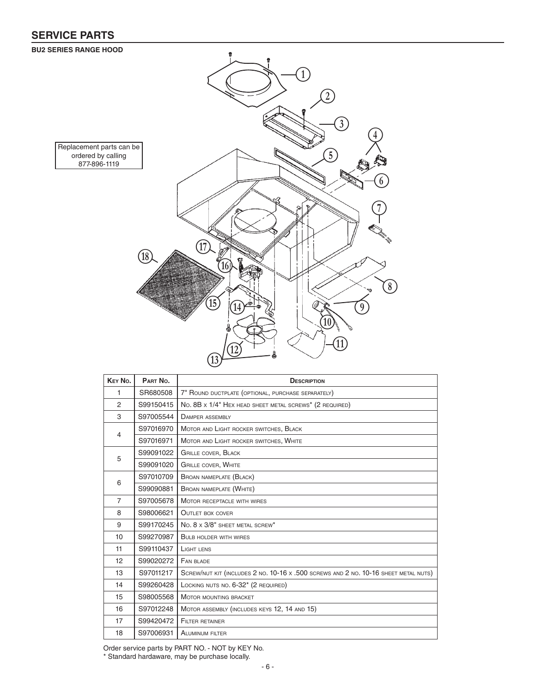# **SERVICE PARTS**

#### **BU2 SERIES RANGE HOOD**



| KEY No.                     | PART No.  | <b>DESCRIPTION</b>                                                                  |
|-----------------------------|-----------|-------------------------------------------------------------------------------------|
| 1                           | SR680508  | 7" ROUND DUCTPLATE (OPTIONAL, PURCHASE SEPARATELY)                                  |
| 2                           | S99150415 | No. 8B x 1/4" HEX HEAD SHEET METAL SCREWS* (2 REQUIRED)                             |
| 3                           | S97005544 | <b>DAMPER ASSEMBLY</b>                                                              |
| 4                           | S97016970 | MOTOR AND LIGHT ROCKER SWITCHES, BLACK                                              |
|                             | S97016971 | MOTOR AND LIGHT ROCKER SWITCHES, WHITE                                              |
| S99091022<br>5<br>S99091020 |           | <b>GRILLE COVER, BLACK</b>                                                          |
|                             |           | <b>GRILLE COVER, WHITE</b>                                                          |
|                             | S97010709 | <b>BROAN NAMEPLATE (BLACK)</b>                                                      |
| 6                           | S99090881 | BROAN NAMEPLATE (WHITE)                                                             |
| $\overline{7}$              | S97005678 | MOTOR RECEPTACLE WITH WIRES                                                         |
| 8                           | S98006621 | <b>OUTLET BOX COVER</b>                                                             |
| 9                           | S99170245 | No. 8 x 3/8" SHEET METAL SCREW*                                                     |
| 10                          | S99270987 | <b>BULB HOLDER WITH WIRES</b>                                                       |
| 11                          | S99110437 | LIGHT LENS                                                                          |
| 12                          | S99020272 | FAN BLADE                                                                           |
| 13                          | S97011217 | SCREW/NUT KIT (INCLUDES 2 NO. 10-16 x .500 SCREWS AND 2 NO. 10-16 SHEET METAL NUTS) |
| 14                          | S99260428 | LOCKING NUTS NO. 6-32* (2 REQUIRED)                                                 |
| 15                          | S98005568 | MOTOR MOUNTING BRACKET                                                              |
| 16                          | S97012248 | MOTOR ASSEMBLY (INCLUDES KEYS 12, 14 AND 15)                                        |
| 17                          | S99420472 | <b>FILTER RETAINER</b>                                                              |
| 18                          | S97006931 | <b>ALUMINUM FILTER</b>                                                              |

Order service parts by PART NO. - NOT by KEY No.

\* Standard hardaware, may be purchase locally.